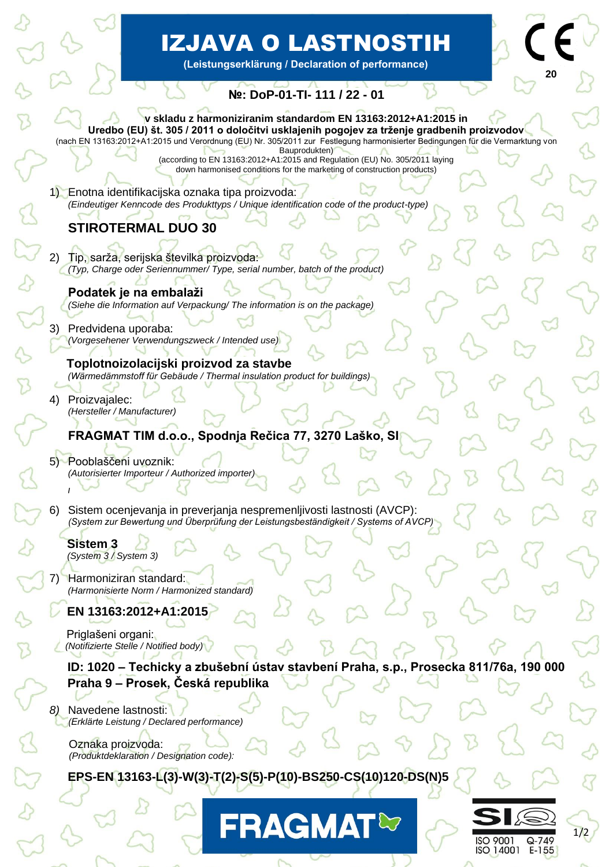# IZJAVA O LASTNOSTIH

**(Leistungserklärung / Declaration of performance)**

## **№: DoP-01-TI- 111 / 22 - 01**

#### **v skladu z harmoniziranim standardom EN 13163:2012+A1:2015 in Uredbo (EU) št. 305 / 2011 o določitvi usklajenih pogojev za trženje gradbenih proizvodov**

(nach EN 13163:2012+A1:2015 und Verordnung (EU) Nr. 305/2011 zur Festlegung harmonisierter Bedingungen für die Vermarktung von Bauprodukten)

(according to EN 13163:2012+A1:2015 and Regulation (EU) No. 305/2011 laying down harmonised conditions for the marketing of construction products)

1) Enotna identifikacijska oznaka tipa proizvoda: *(Eindeutiger Kenncode des Produkttyps / Unique identification code of the product-type)*

# **STIROTERMAL DUO 30**

- 2) Tip, sarža, serijska številka proizvoda: *(Typ, Charge oder Seriennummer/ Type, serial number, batch of the product)*
	- **Podatek je na embalaži** *(Siehe die Information auf Verpackung/ The information is on the package)*
- 3) Predvidena uporaba: *(Vorgesehener Verwendungszweck / Intended use)*

 **Toplotnoizolacijski proizvod za stavbe**  *(Wärmedämmstoff für Gebäude / Thermal insulation product for buildings)*

4) Proizvajalec: *(Hersteller / Manufacturer)*

## **FRAGMAT TIM d.o.o., Spodnja Rečica 77, 3270 Laško, SI**

5) Pooblaščeni uvoznik: *(Autorisierter Importeur / Authorized importer)*

6) Sistem ocenjevanja in preverjanja nespremenljivosti lastnosti (AVCP): *(System zur Bewertung und Überprüfung der Leistungsbeständigkeit / Systems of AVCP)*

 **Sistem 3**  *(System 3 / System 3)*

**/**

7) Harmoniziran standard:  *(Harmonisierte Norm / Harmonized standard)*

 **EN 13163:2012+A1:2015** 

 Priglašeni organi:  *(Notifizierte Stelle / Notified body)*

**ID: 1020 – Techicky a zbušební ústav stavbení Praha, s.p., Prosecka 811/76a, 190 000 Praha 9 – Prosek, Česká republika**

*8)* Navedene lastnosti: *(Erklärte Leistung / Declared performance)*

 Oznaka proizvoda: *(Produktdeklaration / Designation code):* 

 **EPS-EN 13163-L(3)-W(3)-T(2)-S(5)-P(10)-BS250-CS(10)120-DS(N)5**



**20**